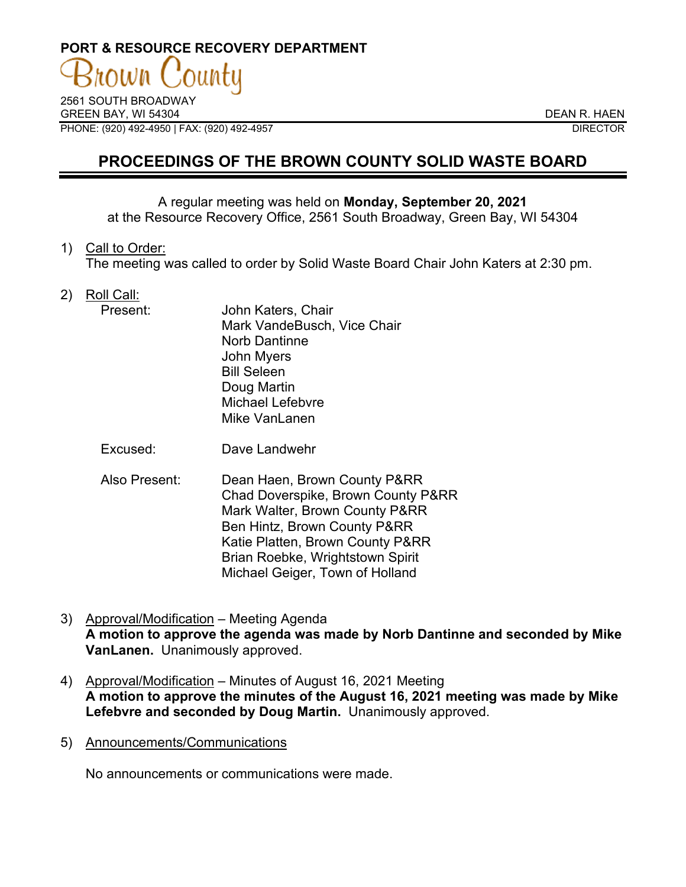# **PORT & RESOURCE RECOVERY DEPARTMENT**

2561 SOUTH BROADWAY GREEN BAY, WI 54304 DEAN R. HAEN PHONE: (920) 492-4950 | FAX: (920) 492-4957 DIRECTOR

# **PROCEEDINGS OF THE BROWN COUNTY SOLID WASTE BOARD**

A regular meeting was held on **Monday, September 20, 2021** at the Resource Recovery Office, 2561 South Broadway, Green Bay, WI 54304

1) Call to Order:

The meeting was called to order by Solid Waste Board Chair John Katers at 2:30 pm.

2) Roll Call:

| Present: | John Katers, Chair          |
|----------|-----------------------------|
|          | Mark VandeBusch, Vice Chair |
|          | <b>Norb Dantinne</b>        |
|          | <b>John Myers</b>           |
|          | <b>Bill Seleen</b>          |
|          | Doug Martin                 |
|          | Michael Lefebvre            |
|          | Mike VanLanen               |
|          |                             |

- Excused: Dave Landwehr
- Also Present: Dean Haen, Brown County P&RR Chad Doverspike, Brown County P&RR Mark Walter, Brown County P&RR Ben Hintz, Brown County P&RR Katie Platten, Brown County P&RR Brian Roebke, Wrightstown Spirit Michael Geiger, Town of Holland
- 3) Approval/Modification Meeting Agenda **A motion to approve the agenda was made by Norb Dantinne and seconded by Mike VanLanen.** Unanimously approved.
- 4) Approval/Modification Minutes of August 16, 2021 Meeting **A motion to approve the minutes of the August 16, 2021 meeting was made by Mike Lefebvre and seconded by Doug Martin.** Unanimously approved.
- 5) Announcements/Communications

No announcements or communications were made.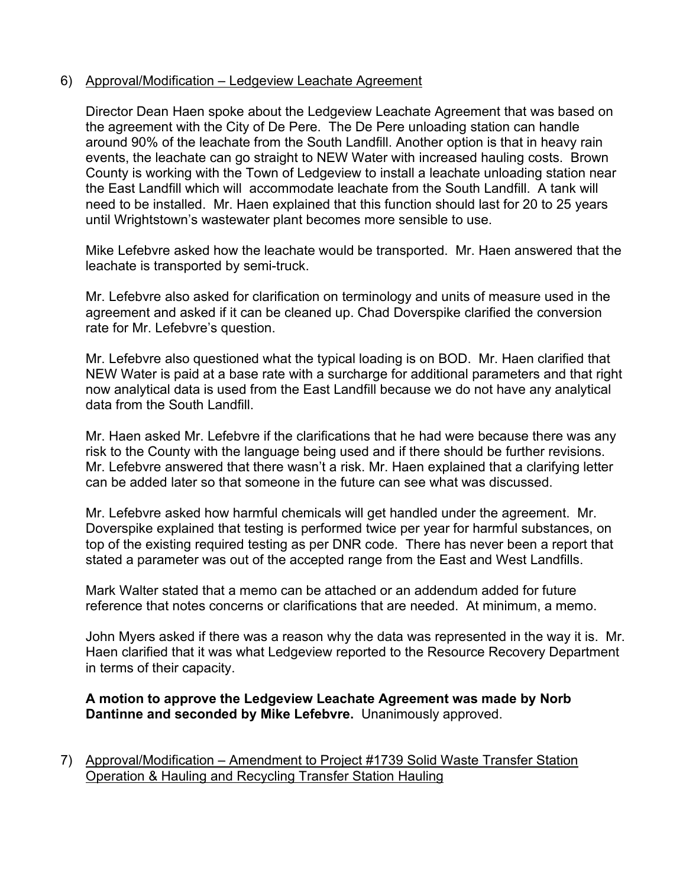## 6) Approval/Modification – Ledgeview Leachate Agreement

Director Dean Haen spoke about the Ledgeview Leachate Agreement that was based on the agreement with the City of De Pere. The De Pere unloading station can handle around 90% of the leachate from the South Landfill. Another option is that in heavy rain events, the leachate can go straight to NEW Water with increased hauling costs. Brown County is working with the Town of Ledgeview to install a leachate unloading station near the East Landfill which will accommodate leachate from the South Landfill. A tank will need to be installed. Mr. Haen explained that this function should last for 20 to 25 years until Wrightstown's wastewater plant becomes more sensible to use.

Mike Lefebvre asked how the leachate would be transported. Mr. Haen answered that the leachate is transported by semi-truck.

Mr. Lefebvre also asked for clarification on terminology and units of measure used in the agreement and asked if it can be cleaned up. Chad Doverspike clarified the conversion rate for Mr. Lefebvre's question.

Mr. Lefebvre also questioned what the typical loading is on BOD. Mr. Haen clarified that NEW Water is paid at a base rate with a surcharge for additional parameters and that right now analytical data is used from the East Landfill because we do not have any analytical data from the South Landfill.

Mr. Haen asked Mr. Lefebvre if the clarifications that he had were because there was any risk to the County with the language being used and if there should be further revisions. Mr. Lefebvre answered that there wasn't a risk. Mr. Haen explained that a clarifying letter can be added later so that someone in the future can see what was discussed.

Mr. Lefebvre asked how harmful chemicals will get handled under the agreement. Mr. Doverspike explained that testing is performed twice per year for harmful substances, on top of the existing required testing as per DNR code. There has never been a report that stated a parameter was out of the accepted range from the East and West Landfills.

Mark Walter stated that a memo can be attached or an addendum added for future reference that notes concerns or clarifications that are needed. At minimum, a memo.

John Myers asked if there was a reason why the data was represented in the way it is. Mr. Haen clarified that it was what Ledgeview reported to the Resource Recovery Department in terms of their capacity.

# **A motion to approve the Ledgeview Leachate Agreement was made by Norb Dantinne and seconded by Mike Lefebvre.** Unanimously approved.

7) Approval/Modification – Amendment to Project #1739 Solid Waste Transfer Station Operation & Hauling and Recycling Transfer Station Hauling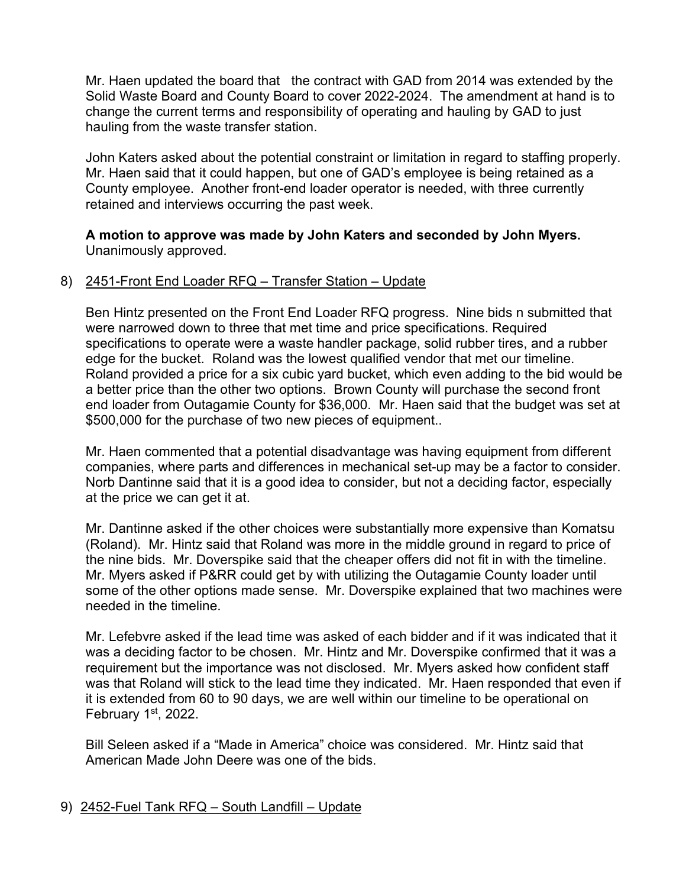Mr. Haen updated the board that the contract with GAD from 2014 was extended by the Solid Waste Board and County Board to cover 2022-2024. The amendment at hand is to change the current terms and responsibility of operating and hauling by GAD to just hauling from the waste transfer station.

John Katers asked about the potential constraint or limitation in regard to staffing properly. Mr. Haen said that it could happen, but one of GAD's employee is being retained as a County employee. Another front-end loader operator is needed, with three currently retained and interviews occurring the past week.

## **A motion to approve was made by John Katers and seconded by John Myers.**  Unanimously approved.

# 8) 2451-Front End Loader RFQ – Transfer Station – Update

Ben Hintz presented on the Front End Loader RFQ progress. Nine bids n submitted that were narrowed down to three that met time and price specifications. Required specifications to operate were a waste handler package, solid rubber tires, and a rubber edge for the bucket. Roland was the lowest qualified vendor that met our timeline. Roland provided a price for a six cubic yard bucket, which even adding to the bid would be a better price than the other two options. Brown County will purchase the second front end loader from Outagamie County for \$36,000. Mr. Haen said that the budget was set at \$500,000 for the purchase of two new pieces of equipment..

Mr. Haen commented that a potential disadvantage was having equipment from different companies, where parts and differences in mechanical set-up may be a factor to consider. Norb Dantinne said that it is a good idea to consider, but not a deciding factor, especially at the price we can get it at.

Mr. Dantinne asked if the other choices were substantially more expensive than Komatsu (Roland). Mr. Hintz said that Roland was more in the middle ground in regard to price of the nine bids. Mr. Doverspike said that the cheaper offers did not fit in with the timeline. Mr. Myers asked if P&RR could get by with utilizing the Outagamie County loader until some of the other options made sense. Mr. Doverspike explained that two machines were needed in the timeline.

Mr. Lefebvre asked if the lead time was asked of each bidder and if it was indicated that it was a deciding factor to be chosen. Mr. Hintz and Mr. Doverspike confirmed that it was a requirement but the importance was not disclosed. Mr. Myers asked how confident staff was that Roland will stick to the lead time they indicated. Mr. Haen responded that even if it is extended from 60 to 90 days, we are well within our timeline to be operational on February 1st, 2022.

Bill Seleen asked if a "Made in America" choice was considered. Mr. Hintz said that American Made John Deere was one of the bids.

## 9) 2452-Fuel Tank RFQ – South Landfill – Update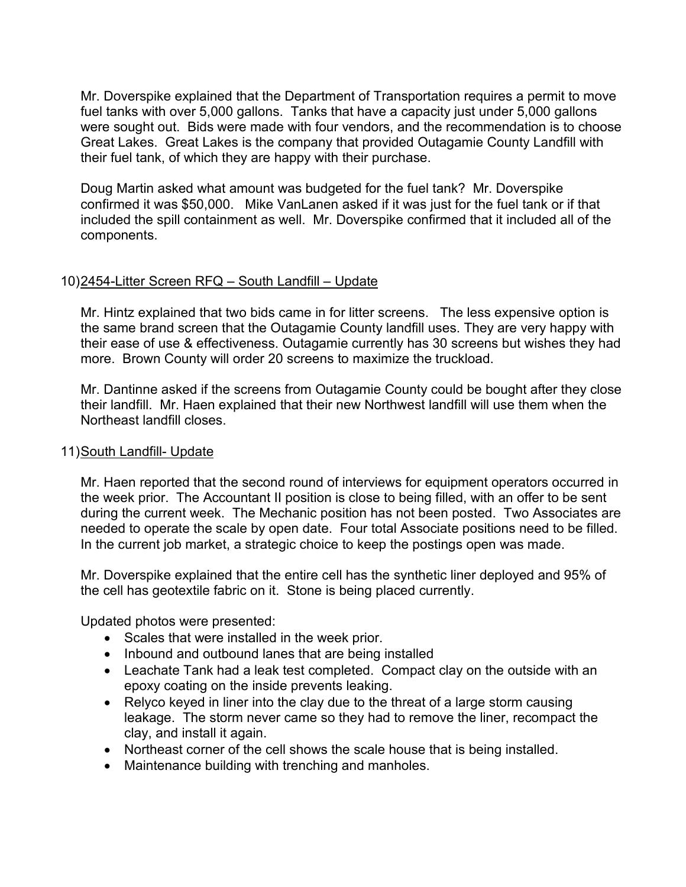Mr. Doverspike explained that the Department of Transportation requires a permit to move fuel tanks with over 5,000 gallons. Tanks that have a capacity just under 5,000 gallons were sought out. Bids were made with four vendors, and the recommendation is to choose Great Lakes. Great Lakes is the company that provided Outagamie County Landfill with their fuel tank, of which they are happy with their purchase.

Doug Martin asked what amount was budgeted for the fuel tank? Mr. Doverspike confirmed it was \$50,000. Mike VanLanen asked if it was just for the fuel tank or if that included the spill containment as well. Mr. Doverspike confirmed that it included all of the components.

# 10)2454-Litter Screen RFQ - South Landfill - Update

Mr. Hintz explained that two bids came in for litter screens. The less expensive option is the same brand screen that the Outagamie County landfill uses. They are very happy with their ease of use & effectiveness. Outagamie currently has 30 screens but wishes they had more. Brown County will order 20 screens to maximize the truckload.

Mr. Dantinne asked if the screens from Outagamie County could be bought after they close their landfill. Mr. Haen explained that their new Northwest landfill will use them when the Northeast landfill closes.

#### 11)South Landfill- Update

Mr. Haen reported that the second round of interviews for equipment operators occurred in the week prior. The Accountant II position is close to being filled, with an offer to be sent during the current week. The Mechanic position has not been posted. Two Associates are needed to operate the scale by open date. Four total Associate positions need to be filled. In the current job market, a strategic choice to keep the postings open was made.

Mr. Doverspike explained that the entire cell has the synthetic liner deployed and 95% of the cell has geotextile fabric on it. Stone is being placed currently.

Updated photos were presented:

- Scales that were installed in the week prior.
- Inbound and outbound lanes that are being installed
- Leachate Tank had a leak test completed. Compact clay on the outside with an epoxy coating on the inside prevents leaking.
- Relyco keyed in liner into the clay due to the threat of a large storm causing leakage. The storm never came so they had to remove the liner, recompact the clay, and install it again.
- Northeast corner of the cell shows the scale house that is being installed.
- Maintenance building with trenching and manholes.